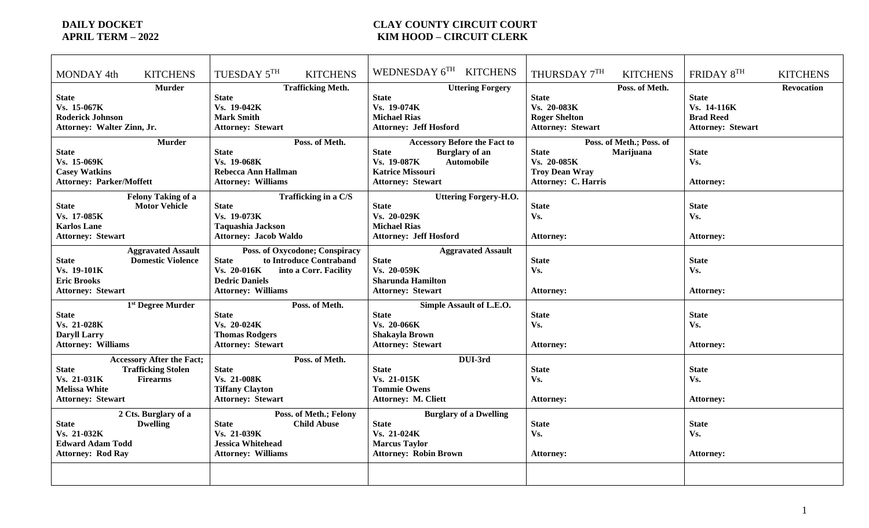## **DAILY DOCKET COUNTY CIRCUIT COURT APRIL TERM – 2022**<br>APRIL TERM – 2022 **KIM HOOD – CIRCUIT CLERK**

| WEDNESDAY 6TH KITCHENS<br>TUESDAY 5TH<br>THURSDAY 7TH<br>FRIDAY 8TH<br><b>KITCHENS</b><br><b>KITCHENS</b><br>MONDAY 4th<br><b>KITCHENS</b><br><b>KITCHENS</b><br><b>Murder</b><br><b>Trafficking Meth.</b><br>Poss. of Meth.<br><b>Uttering Forgery</b><br><b>Revocation</b><br><b>State</b><br><b>State</b><br><b>State</b><br><b>State</b><br><b>State</b><br>Vs. 19-042K<br>Vs. 19-074K<br>Vs. 20-083K<br>Vs. 14-116K<br>Vs. 15-067K<br><b>Roderick Johnson</b><br><b>Mark Smith</b><br><b>Michael Rias</b><br><b>Roger Shelton</b><br><b>Brad Reed</b><br>Attorney: Walter Zinn, Jr.<br><b>Attorney: Jeff Hosford</b><br><b>Attorney: Stewart</b><br><b>Attorney: Stewart</b><br><b>Attorney: Stewart</b><br><b>Murder</b><br>Poss. of Meth.<br><b>Accessory Before the Fact to</b><br>Poss. of Meth.; Poss. of<br>Marijuana<br><b>State</b><br><b>Burglary</b> of an<br><b>State</b><br><b>State</b><br><b>State</b><br><b>State</b><br>Vs. 15-069K<br>Vs. 19-068K<br>Vs. 20-085K<br>Vs. 19-087K<br><b>Automobile</b><br>Vs.<br><b>Casey Watkins</b><br>Rebecca Ann Hallman<br><b>Troy Dean Wray</b><br><b>Katrice Missouri</b><br><b>Attorney: C. Harris</b><br><b>Attorney: Parker/Moffett</b><br><b>Attorney: Williams</b><br><b>Attorney: Stewart</b><br><b>Attorney:</b><br><b>Felony Taking of a</b><br>Trafficking in a C/S<br><b>Uttering Forgery-H.O.</b> |
|-------------------------------------------------------------------------------------------------------------------------------------------------------------------------------------------------------------------------------------------------------------------------------------------------------------------------------------------------------------------------------------------------------------------------------------------------------------------------------------------------------------------------------------------------------------------------------------------------------------------------------------------------------------------------------------------------------------------------------------------------------------------------------------------------------------------------------------------------------------------------------------------------------------------------------------------------------------------------------------------------------------------------------------------------------------------------------------------------------------------------------------------------------------------------------------------------------------------------------------------------------------------------------------------------------------------------------------------------------------------------|
|                                                                                                                                                                                                                                                                                                                                                                                                                                                                                                                                                                                                                                                                                                                                                                                                                                                                                                                                                                                                                                                                                                                                                                                                                                                                                                                                                                         |
|                                                                                                                                                                                                                                                                                                                                                                                                                                                                                                                                                                                                                                                                                                                                                                                                                                                                                                                                                                                                                                                                                                                                                                                                                                                                                                                                                                         |
|                                                                                                                                                                                                                                                                                                                                                                                                                                                                                                                                                                                                                                                                                                                                                                                                                                                                                                                                                                                                                                                                                                                                                                                                                                                                                                                                                                         |
|                                                                                                                                                                                                                                                                                                                                                                                                                                                                                                                                                                                                                                                                                                                                                                                                                                                                                                                                                                                                                                                                                                                                                                                                                                                                                                                                                                         |
|                                                                                                                                                                                                                                                                                                                                                                                                                                                                                                                                                                                                                                                                                                                                                                                                                                                                                                                                                                                                                                                                                                                                                                                                                                                                                                                                                                         |
|                                                                                                                                                                                                                                                                                                                                                                                                                                                                                                                                                                                                                                                                                                                                                                                                                                                                                                                                                                                                                                                                                                                                                                                                                                                                                                                                                                         |
|                                                                                                                                                                                                                                                                                                                                                                                                                                                                                                                                                                                                                                                                                                                                                                                                                                                                                                                                                                                                                                                                                                                                                                                                                                                                                                                                                                         |
|                                                                                                                                                                                                                                                                                                                                                                                                                                                                                                                                                                                                                                                                                                                                                                                                                                                                                                                                                                                                                                                                                                                                                                                                                                                                                                                                                                         |
|                                                                                                                                                                                                                                                                                                                                                                                                                                                                                                                                                                                                                                                                                                                                                                                                                                                                                                                                                                                                                                                                                                                                                                                                                                                                                                                                                                         |
|                                                                                                                                                                                                                                                                                                                                                                                                                                                                                                                                                                                                                                                                                                                                                                                                                                                                                                                                                                                                                                                                                                                                                                                                                                                                                                                                                                         |
|                                                                                                                                                                                                                                                                                                                                                                                                                                                                                                                                                                                                                                                                                                                                                                                                                                                                                                                                                                                                                                                                                                                                                                                                                                                                                                                                                                         |
|                                                                                                                                                                                                                                                                                                                                                                                                                                                                                                                                                                                                                                                                                                                                                                                                                                                                                                                                                                                                                                                                                                                                                                                                                                                                                                                                                                         |
|                                                                                                                                                                                                                                                                                                                                                                                                                                                                                                                                                                                                                                                                                                                                                                                                                                                                                                                                                                                                                                                                                                                                                                                                                                                                                                                                                                         |
| <b>Motor Vehicle</b><br><b>State</b><br><b>State</b><br><b>State</b><br><b>State</b><br><b>State</b>                                                                                                                                                                                                                                                                                                                                                                                                                                                                                                                                                                                                                                                                                                                                                                                                                                                                                                                                                                                                                                                                                                                                                                                                                                                                    |
| Vs. 17-085K<br>Vs. 19-073K<br>Vs. 20-029K<br>Vs.<br>Vs.                                                                                                                                                                                                                                                                                                                                                                                                                                                                                                                                                                                                                                                                                                                                                                                                                                                                                                                                                                                                                                                                                                                                                                                                                                                                                                                 |
| <b>Karlos Lane</b><br><b>Taquashia Jackson</b><br><b>Michael Rias</b>                                                                                                                                                                                                                                                                                                                                                                                                                                                                                                                                                                                                                                                                                                                                                                                                                                                                                                                                                                                                                                                                                                                                                                                                                                                                                                   |
| <b>Attorney: Stewart</b><br><b>Attorney: Jacob Waldo</b><br><b>Attorney: Jeff Hosford</b><br><b>Attorney:</b><br><b>Attorney:</b>                                                                                                                                                                                                                                                                                                                                                                                                                                                                                                                                                                                                                                                                                                                                                                                                                                                                                                                                                                                                                                                                                                                                                                                                                                       |
| <b>Aggravated Assault</b><br>Poss. of Oxycodone; Conspiracy<br><b>Aggravated Assault</b>                                                                                                                                                                                                                                                                                                                                                                                                                                                                                                                                                                                                                                                                                                                                                                                                                                                                                                                                                                                                                                                                                                                                                                                                                                                                                |
| <b>Domestic Violence</b><br><b>State</b><br><b>State</b><br>to Introduce Contraband<br><b>State</b><br><b>State</b><br><b>State</b>                                                                                                                                                                                                                                                                                                                                                                                                                                                                                                                                                                                                                                                                                                                                                                                                                                                                                                                                                                                                                                                                                                                                                                                                                                     |
| Vs. 19-101K<br>Vs. 20-059K<br>Vs.<br>Vs. 20-016K<br>Vs.<br>into a Corr. Facility                                                                                                                                                                                                                                                                                                                                                                                                                                                                                                                                                                                                                                                                                                                                                                                                                                                                                                                                                                                                                                                                                                                                                                                                                                                                                        |
| <b>Eric Brooks</b><br><b>Dedric Daniels</b><br><b>Sharunda Hamilton</b>                                                                                                                                                                                                                                                                                                                                                                                                                                                                                                                                                                                                                                                                                                                                                                                                                                                                                                                                                                                                                                                                                                                                                                                                                                                                                                 |
| <b>Attorney: Stewart</b><br><b>Attorney: Williams</b><br><b>Attorney: Stewart</b><br><b>Attorney:</b><br><b>Attorney:</b>                                                                                                                                                                                                                                                                                                                                                                                                                                                                                                                                                                                                                                                                                                                                                                                                                                                                                                                                                                                                                                                                                                                                                                                                                                               |
| 1 <sup>st</sup> Degree Murder<br>Poss. of Meth.<br>Simple Assault of L.E.O.                                                                                                                                                                                                                                                                                                                                                                                                                                                                                                                                                                                                                                                                                                                                                                                                                                                                                                                                                                                                                                                                                                                                                                                                                                                                                             |
| <b>State</b><br><b>State</b><br><b>State</b><br><b>State</b><br><b>State</b>                                                                                                                                                                                                                                                                                                                                                                                                                                                                                                                                                                                                                                                                                                                                                                                                                                                                                                                                                                                                                                                                                                                                                                                                                                                                                            |
| Vs.<br>Vs. 21-028K<br>Vs. 20-024K<br>Vs. 20-066K<br>Vs.                                                                                                                                                                                                                                                                                                                                                                                                                                                                                                                                                                                                                                                                                                                                                                                                                                                                                                                                                                                                                                                                                                                                                                                                                                                                                                                 |
| <b>Thomas Rodgers</b><br>Shakayla Brown<br><b>Daryll Larry</b>                                                                                                                                                                                                                                                                                                                                                                                                                                                                                                                                                                                                                                                                                                                                                                                                                                                                                                                                                                                                                                                                                                                                                                                                                                                                                                          |
| <b>Attorney: Williams</b><br><b>Attorney: Stewart</b><br><b>Attorney: Stewart</b><br><b>Attorney:</b><br><b>Attorney:</b>                                                                                                                                                                                                                                                                                                                                                                                                                                                                                                                                                                                                                                                                                                                                                                                                                                                                                                                                                                                                                                                                                                                                                                                                                                               |
| Poss. of Meth.<br>DUI-3rd<br><b>Accessory After the Fact;</b>                                                                                                                                                                                                                                                                                                                                                                                                                                                                                                                                                                                                                                                                                                                                                                                                                                                                                                                                                                                                                                                                                                                                                                                                                                                                                                           |
| <b>State</b><br><b>Trafficking Stolen</b><br><b>State</b><br><b>State</b><br><b>State</b><br><b>State</b>                                                                                                                                                                                                                                                                                                                                                                                                                                                                                                                                                                                                                                                                                                                                                                                                                                                                                                                                                                                                                                                                                                                                                                                                                                                               |
| Vs. 21-031K<br>Vs. 21-008K<br>Vs. 21-015K<br><b>Firearms</b><br>Vs.<br>Vs.                                                                                                                                                                                                                                                                                                                                                                                                                                                                                                                                                                                                                                                                                                                                                                                                                                                                                                                                                                                                                                                                                                                                                                                                                                                                                              |
| <b>Melissa White</b><br><b>Tiffany Clayton</b><br><b>Tommie Owens</b>                                                                                                                                                                                                                                                                                                                                                                                                                                                                                                                                                                                                                                                                                                                                                                                                                                                                                                                                                                                                                                                                                                                                                                                                                                                                                                   |
| <b>Attorney: Stewart</b><br><b>Attorney: M. Cliett</b><br><b>Attorney: Stewart</b><br><b>Attorney:</b><br><b>Attorney:</b>                                                                                                                                                                                                                                                                                                                                                                                                                                                                                                                                                                                                                                                                                                                                                                                                                                                                                                                                                                                                                                                                                                                                                                                                                                              |
| 2 Cts. Burglary of a<br>Poss. of Meth.; Felony<br><b>Burglary of a Dwelling</b>                                                                                                                                                                                                                                                                                                                                                                                                                                                                                                                                                                                                                                                                                                                                                                                                                                                                                                                                                                                                                                                                                                                                                                                                                                                                                         |
| <b>Dwelling</b><br><b>Child Abuse</b><br><b>State</b><br><b>State</b><br><b>State</b><br><b>State</b><br><b>State</b>                                                                                                                                                                                                                                                                                                                                                                                                                                                                                                                                                                                                                                                                                                                                                                                                                                                                                                                                                                                                                                                                                                                                                                                                                                                   |
| Vs. 21-032K<br>Vs.<br>Vs. 21-039K<br>Vs. 21-024K<br>Vs.                                                                                                                                                                                                                                                                                                                                                                                                                                                                                                                                                                                                                                                                                                                                                                                                                                                                                                                                                                                                                                                                                                                                                                                                                                                                                                                 |
| <b>Edward Adam Todd</b><br><b>Jessica Whitehead</b><br><b>Marcus Taylor</b>                                                                                                                                                                                                                                                                                                                                                                                                                                                                                                                                                                                                                                                                                                                                                                                                                                                                                                                                                                                                                                                                                                                                                                                                                                                                                             |
| <b>Attorney: Williams</b><br><b>Attorney: Robin Brown</b><br><b>Attorney: Rod Ray</b><br><b>Attorney:</b><br><b>Attorney:</b>                                                                                                                                                                                                                                                                                                                                                                                                                                                                                                                                                                                                                                                                                                                                                                                                                                                                                                                                                                                                                                                                                                                                                                                                                                           |
|                                                                                                                                                                                                                                                                                                                                                                                                                                                                                                                                                                                                                                                                                                                                                                                                                                                                                                                                                                                                                                                                                                                                                                                                                                                                                                                                                                         |
|                                                                                                                                                                                                                                                                                                                                                                                                                                                                                                                                                                                                                                                                                                                                                                                                                                                                                                                                                                                                                                                                                                                                                                                                                                                                                                                                                                         |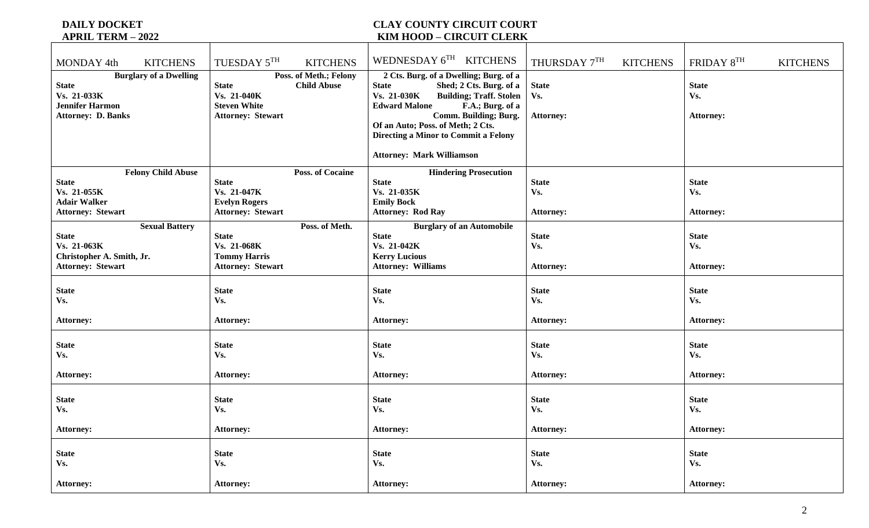# **DAILY DOCKET COUNTY CIRCUIT COURT APRIL TERM – 2022 KIM HOOD – CIRCUIT CLERK**

| <b>KITCHENS</b><br>MONDAY 4th                                                                                       | TUESDAY 5TH<br><b>KITCHENS</b>                                                                                                 | WEDNESDAY 6TH KITCHENS                                                                                                                                                                                                                                                                                                          | THURSDAY 7TH<br><b>KITCHENS</b>         | FRIDAY 8TH<br><b>KITCHENS</b>           |
|---------------------------------------------------------------------------------------------------------------------|--------------------------------------------------------------------------------------------------------------------------------|---------------------------------------------------------------------------------------------------------------------------------------------------------------------------------------------------------------------------------------------------------------------------------------------------------------------------------|-----------------------------------------|-----------------------------------------|
| <b>Burglary of a Dwelling</b><br><b>State</b><br>Vs. 21-033K<br><b>Jennifer Harmon</b><br><b>Attorney: D. Banks</b> | Poss. of Meth.; Felony<br><b>Child Abuse</b><br><b>State</b><br>Vs. 21-040K<br><b>Steven White</b><br><b>Attorney: Stewart</b> | 2 Cts. Burg. of a Dwelling; Burg. of a<br><b>State</b><br>Shed; 2 Cts. Burg. of a<br>Vs. 21-030K<br><b>Building; Traff. Stolen</b><br><b>Edward Malone</b><br>F.A.; Burg. of a<br>Comm. Building; Burg.<br>Of an Auto; Poss. of Meth; 2 Cts.<br><b>Directing a Minor to Commit a Felony</b><br><b>Attorney: Mark Williamson</b> | <b>State</b><br>Vs.<br>Attorney:        | <b>State</b><br>Vs.<br><b>Attorney:</b> |
| <b>Felony Child Abuse</b>                                                                                           | <b>Poss. of Cocaine</b>                                                                                                        | <b>Hindering Prosecution</b>                                                                                                                                                                                                                                                                                                    |                                         |                                         |
| <b>State</b>                                                                                                        | <b>State</b>                                                                                                                   | <b>State</b>                                                                                                                                                                                                                                                                                                                    | <b>State</b>                            | <b>State</b>                            |
| Vs. 21-055K<br><b>Adair Walker</b>                                                                                  | Vs. 21-047K<br><b>Evelyn Rogers</b>                                                                                            | Vs. 21-035K<br><b>Emily Bock</b>                                                                                                                                                                                                                                                                                                | Vs.                                     | Vs.                                     |
| <b>Attorney: Stewart</b>                                                                                            | <b>Attorney: Stewart</b>                                                                                                       | <b>Attorney: Rod Ray</b>                                                                                                                                                                                                                                                                                                        | <b>Attorney:</b>                        | <b>Attorney:</b>                        |
| <b>Sexual Battery</b>                                                                                               | Poss. of Meth.                                                                                                                 | <b>Burglary of an Automobile</b>                                                                                                                                                                                                                                                                                                |                                         |                                         |
| <b>State</b>                                                                                                        | <b>State</b>                                                                                                                   | <b>State</b>                                                                                                                                                                                                                                                                                                                    | <b>State</b>                            | <b>State</b>                            |
| Vs. 21-063K                                                                                                         | Vs. 21-068K                                                                                                                    | Vs. 21-042K                                                                                                                                                                                                                                                                                                                     | Vs.                                     | Vs.                                     |
| Christopher A. Smith, Jr.                                                                                           | <b>Tommy Harris</b>                                                                                                            | <b>Kerry Lucious</b>                                                                                                                                                                                                                                                                                                            |                                         |                                         |
| <b>Attorney: Stewart</b>                                                                                            | <b>Attorney: Stewart</b>                                                                                                       | <b>Attorney: Williams</b>                                                                                                                                                                                                                                                                                                       | <b>Attorney:</b>                        | <b>Attorney:</b>                        |
|                                                                                                                     |                                                                                                                                |                                                                                                                                                                                                                                                                                                                                 |                                         |                                         |
| <b>State</b>                                                                                                        | <b>State</b>                                                                                                                   | <b>State</b>                                                                                                                                                                                                                                                                                                                    | <b>State</b>                            | <b>State</b>                            |
| Vs.                                                                                                                 | Vs.                                                                                                                            | Vs.                                                                                                                                                                                                                                                                                                                             | Vs.                                     | Vs.                                     |
|                                                                                                                     |                                                                                                                                |                                                                                                                                                                                                                                                                                                                                 |                                         |                                         |
| <b>Attorney:</b>                                                                                                    | <b>Attorney:</b>                                                                                                               | <b>Attorney:</b>                                                                                                                                                                                                                                                                                                                | <b>Attorney:</b>                        | <b>Attorney:</b>                        |
| <b>State</b><br>Vs.                                                                                                 | <b>State</b><br>Vs.                                                                                                            | <b>State</b><br>Vs.                                                                                                                                                                                                                                                                                                             | <b>State</b><br>Vs.                     | <b>State</b><br>Vs.                     |
| <b>Attorney:</b>                                                                                                    | <b>Attorney:</b>                                                                                                               | <b>Attorney:</b>                                                                                                                                                                                                                                                                                                                | <b>Attorney:</b>                        | <b>Attorney:</b>                        |
| <b>State</b><br>Vs.                                                                                                 | <b>State</b><br>Vs.                                                                                                            | <b>State</b><br>Vs.                                                                                                                                                                                                                                                                                                             | <b>State</b><br>Vs.                     | <b>State</b><br>Vs.                     |
| <b>Attorney:</b>                                                                                                    | <b>Attorney:</b>                                                                                                               | <b>Attorney:</b>                                                                                                                                                                                                                                                                                                                | <b>Attorney:</b>                        | <b>Attorney:</b>                        |
| <b>State</b><br>Vs.<br><b>Attorney:</b>                                                                             | <b>State</b><br>Vs.<br><b>Attorney:</b>                                                                                        | <b>State</b><br>Vs.<br><b>Attorney:</b>                                                                                                                                                                                                                                                                                         | <b>State</b><br>Vs.<br><b>Attorney:</b> | <b>State</b><br>Vs.<br><b>Attorney:</b> |
|                                                                                                                     |                                                                                                                                |                                                                                                                                                                                                                                                                                                                                 |                                         |                                         |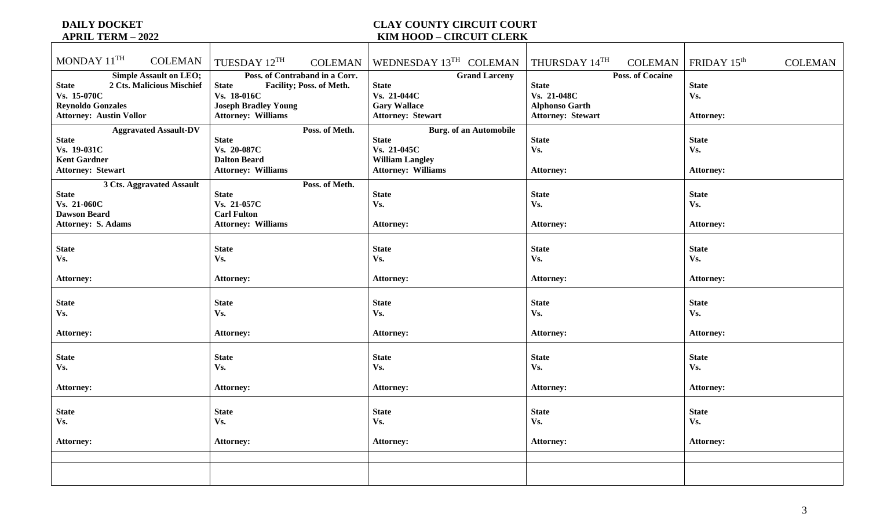## **DAILY DOCKET COUNTY CIRCUIT COURT APRIL TERM – 2022**<br>APRIL TERM – 2022 **KIM HOOD – CIRCUIT CLERK**

| MONDAY 11TH<br><b>COLEMAN</b>                                                                                                                           | TUESDAY 12TH                                                                                                                                          | COLEMAN   WEDNESDAY 13 <sup>TH</sup> COLEMAN   THURSDAY 14 <sup>TH</sup>                                            |                                                                                                             | COLEMAN   FRIDAY $15th$<br><b>COLEMAN</b> |
|---------------------------------------------------------------------------------------------------------------------------------------------------------|-------------------------------------------------------------------------------------------------------------------------------------------------------|---------------------------------------------------------------------------------------------------------------------|-------------------------------------------------------------------------------------------------------------|-------------------------------------------|
| <b>Simple Assault on LEO;</b><br>2 Cts. Malicious Mischief<br><b>State</b><br>Vs. 15-070C<br><b>Reynoldo Gonzales</b><br><b>Attorney: Austin Vollor</b> | Poss. of Contraband in a Corr.<br><b>State</b><br>Facility; Poss. of Meth.<br>Vs. 18-016C<br><b>Joseph Bradley Young</b><br><b>Attorney: Williams</b> | <b>Grand Larceny</b><br><b>State</b><br>Vs. 21-044C<br><b>Gary Wallace</b><br><b>Attorney: Stewart</b>              | <b>Poss. of Cocaine</b><br><b>State</b><br>Vs. 21-048C<br><b>Alphonso Garth</b><br><b>Attorney: Stewart</b> | <b>State</b><br>Vs.<br><b>Attorney:</b>   |
| <b>Aggravated Assault-DV</b><br><b>State</b><br>Vs. 19-031C<br><b>Kent Gardner</b><br><b>Attorney: Stewart</b>                                          | Poss. of Meth.<br><b>State</b><br>Vs. 20-087C<br><b>Dalton Beard</b><br><b>Attorney: Williams</b>                                                     | <b>Burg.</b> of an Automobile<br><b>State</b><br>Vs. 21-045C<br><b>William Langley</b><br><b>Attorney: Williams</b> | <b>State</b><br>Vs.<br><b>Attorney:</b>                                                                     | <b>State</b><br>Vs.<br><b>Attorney:</b>   |
| 3 Cts. Aggravated Assault<br><b>State</b><br>Vs. 21-060C<br><b>Dawson Beard</b><br><b>Attorney: S. Adams</b>                                            | Poss. of Meth.<br><b>State</b><br>Vs. 21-057C<br><b>Carl Fulton</b><br><b>Attorney: Williams</b>                                                      | <b>State</b><br>Vs.<br><b>Attorney:</b>                                                                             | <b>State</b><br>Vs.<br><b>Attorney:</b>                                                                     | <b>State</b><br>Vs.<br><b>Attorney:</b>   |
| <b>State</b><br>Vs.<br><b>Attorney:</b>                                                                                                                 | <b>State</b><br>Vs.<br><b>Attorney:</b>                                                                                                               | <b>State</b><br>Vs.<br><b>Attorney:</b>                                                                             | <b>State</b><br>Vs.<br><b>Attorney:</b>                                                                     | <b>State</b><br>Vs.<br><b>Attorney:</b>   |
| <b>State</b><br>Vs.<br><b>Attorney:</b>                                                                                                                 | <b>State</b><br>Vs.<br><b>Attorney:</b>                                                                                                               | <b>State</b><br>Vs.<br><b>Attorney:</b>                                                                             | <b>State</b><br>Vs.<br><b>Attorney:</b>                                                                     | <b>State</b><br>Vs.<br><b>Attorney:</b>   |
| <b>State</b><br>Vs.<br><b>Attorney:</b>                                                                                                                 | <b>State</b><br>Vs.<br><b>Attorney:</b>                                                                                                               | <b>State</b><br>Vs.<br><b>Attorney:</b>                                                                             | <b>State</b><br>Vs.<br><b>Attorney:</b>                                                                     | <b>State</b><br>Vs.<br><b>Attorney:</b>   |
| <b>State</b><br>Vs.<br><b>Attorney:</b>                                                                                                                 | <b>State</b><br>Vs.<br><b>Attorney:</b>                                                                                                               | <b>State</b><br>Vs.<br><b>Attorney:</b>                                                                             | <b>State</b><br>Vs.<br><b>Attorney:</b>                                                                     | <b>State</b><br>Vs.<br><b>Attorney:</b>   |
|                                                                                                                                                         |                                                                                                                                                       |                                                                                                                     |                                                                                                             |                                           |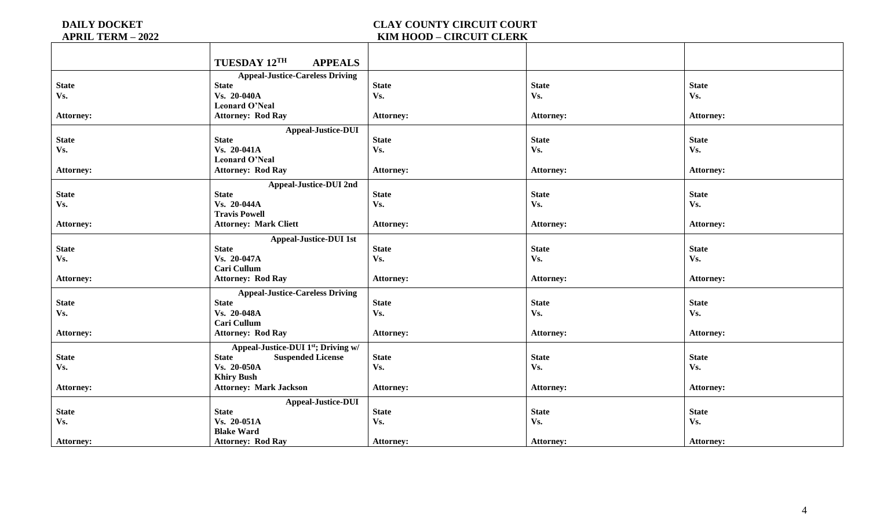### **DAILY DOCKET COUNTY CIRCUIT COURT APRIL TERM – 2022**<br>APRIL TERM – 2022 **KIM HOOD – CIRCUIT CLERK**

|                  | TUESDAY 12TH<br><b>APPEALS</b>                  |                  |                  |                  |
|------------------|-------------------------------------------------|------------------|------------------|------------------|
|                  | <b>Appeal-Justice-Careless Driving</b>          |                  |                  |                  |
| <b>State</b>     | <b>State</b>                                    | <b>State</b>     | <b>State</b>     | <b>State</b>     |
| Vs.              | Vs. 20-040A                                     | Vs.              | Vs.              | Vs.              |
|                  | <b>Leonard O'Neal</b>                           |                  |                  |                  |
| <b>Attorney:</b> | <b>Attorney: Rod Ray</b>                        | <b>Attorney:</b> | <b>Attorney:</b> | <b>Attorney:</b> |
|                  | <b>Appeal-Justice-DUI</b>                       |                  |                  |                  |
| <b>State</b>     | <b>State</b>                                    | <b>State</b>     | <b>State</b>     | <b>State</b>     |
| Vs.              | Vs. 20-041A                                     | Vs.              | Vs.              | Vs.              |
|                  | <b>Leonard O'Neal</b>                           |                  |                  |                  |
| <b>Attorney:</b> | <b>Attorney: Rod Ray</b>                        | <b>Attorney:</b> | <b>Attorney:</b> | <b>Attorney:</b> |
|                  | <b>Appeal-Justice-DUI 2nd</b>                   |                  |                  |                  |
| <b>State</b>     | <b>State</b>                                    | <b>State</b>     | <b>State</b>     | <b>State</b>     |
| Vs.              | Vs. 20-044A                                     | Vs.              | Vs.              | Vs.              |
|                  | <b>Travis Powell</b>                            |                  |                  |                  |
| <b>Attorney:</b> | <b>Attorney: Mark Cliett</b>                    | <b>Attorney:</b> | <b>Attorney:</b> | <b>Attorney:</b> |
|                  | <b>Appeal-Justice-DUI 1st</b>                   |                  |                  |                  |
| <b>State</b>     | <b>State</b>                                    | <b>State</b>     | <b>State</b>     | <b>State</b>     |
| Vs.              | Vs. 20-047A                                     | Vs.              | Vs.              | Vs.              |
|                  | Cari Cullum                                     |                  |                  |                  |
| <b>Attorney:</b> | <b>Attorney: Rod Ray</b>                        | <b>Attorney:</b> | <b>Attorney:</b> | <b>Attorney:</b> |
|                  | <b>Appeal-Justice-Careless Driving</b>          |                  |                  |                  |
| <b>State</b>     | <b>State</b>                                    | <b>State</b>     | <b>State</b>     | <b>State</b>     |
| Vs.              | Vs. 20-048A                                     | Vs.              | Vs.              | Vs.              |
|                  | <b>Cari Cullum</b>                              |                  |                  |                  |
| <b>Attorney:</b> | <b>Attorney: Rod Ray</b>                        | <b>Attorney:</b> | <b>Attorney:</b> | <b>Attorney:</b> |
|                  | Appeal-Justice-DUI 1 <sup>st</sup> ; Driving w/ |                  |                  |                  |
| <b>State</b>     | <b>State</b><br><b>Suspended License</b>        | <b>State</b>     | <b>State</b>     | <b>State</b>     |
| Vs.              | Vs. 20-050A                                     | Vs.              | Vs.              | Vs.              |
|                  | <b>Khiry Bush</b>                               |                  |                  |                  |
| <b>Attorney:</b> | <b>Attorney: Mark Jackson</b>                   | <b>Attorney:</b> | Attorney:        | <b>Attorney:</b> |
|                  | <b>Appeal-Justice-DUI</b>                       |                  |                  |                  |
| <b>State</b>     | <b>State</b>                                    | <b>State</b>     | <b>State</b>     | <b>State</b>     |
| Vs.              | Vs. 20-051A                                     | Vs.              | Vs.              | Vs.              |
|                  | <b>Blake Ward</b>                               |                  |                  |                  |
| <b>Attorney:</b> | <b>Attorney: Rod Ray</b>                        | <b>Attorney:</b> | <b>Attorney:</b> | <b>Attorney:</b> |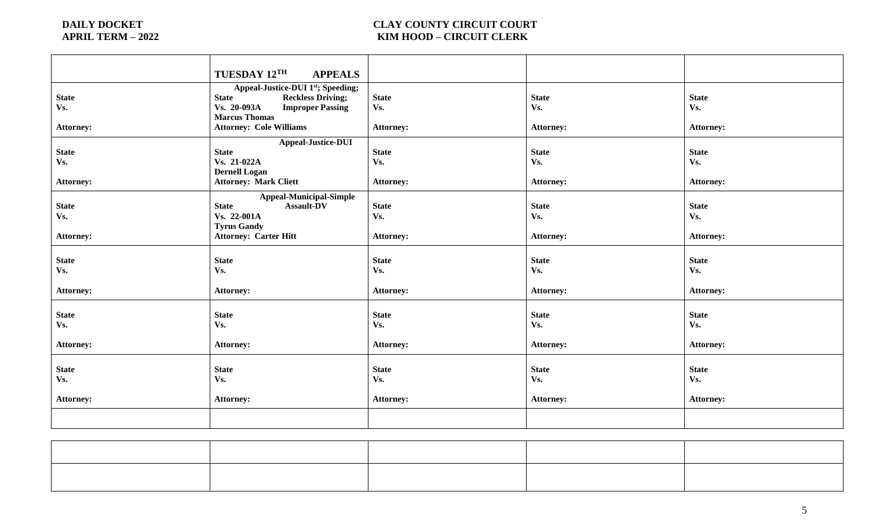# **DAILY DOCKET COUNTY CIRCUIT COURT APRIL TERM – 2022**<br>APRIL TERM – 2022 **APRIL TERM – 2022 KIM HOOD – CIRCUIT CLERK**

|                  | <b>TUESDAY 12TH</b><br><b>APPEALS</b>    |                  |                  |                  |
|------------------|------------------------------------------|------------------|------------------|------------------|
|                  | Appeal-Justice-DUI 1st; Speeding;        |                  |                  |                  |
| <b>State</b>     | <b>State</b><br><b>Reckless Driving;</b> | <b>State</b>     | <b>State</b>     | <b>State</b>     |
| Vs.              | Vs. 20-093A<br><b>Improper Passing</b>   | Vs.              | Vs.              | Vs.              |
|                  | <b>Marcus Thomas</b>                     |                  |                  |                  |
| <b>Attorney:</b> | <b>Attorney: Cole Williams</b>           | Attorney:        | <b>Attorney:</b> | <b>Attorney:</b> |
|                  | Appeal-Justice-DUI                       |                  |                  |                  |
| <b>State</b>     | <b>State</b>                             | <b>State</b>     | <b>State</b>     | <b>State</b>     |
| Vs.              | Vs. 21-022A                              | Vs.              | Vs.              | Vs.              |
|                  | <b>Dernell Logan</b>                     |                  |                  |                  |
| <b>Attorney:</b> | <b>Attorney: Mark Cliett</b>             | <b>Attorney:</b> | <b>Attorney:</b> | <b>Attorney:</b> |
|                  | <b>Appeal-Municipal-Simple</b>           |                  |                  |                  |
| <b>State</b>     | <b>State</b><br><b>Assault-DV</b>        | <b>State</b>     | <b>State</b>     | <b>State</b>     |
| Vs.              | Vs. 22-001A                              | Vs.              | Vs.              | Vs.              |
|                  | <b>Tyrus Gandy</b>                       |                  |                  |                  |
| <b>Attorney:</b> | <b>Attorney: Carter Hitt</b>             | <b>Attorney:</b> | <b>Attorney:</b> | <b>Attorney:</b> |
|                  |                                          |                  |                  |                  |
| <b>State</b>     | <b>State</b>                             | <b>State</b>     | <b>State</b>     | <b>State</b>     |
| Vs.              | Vs.                                      | Vs.              | Vs.              | Vs.              |
| <b>Attorney:</b> | <b>Attorney:</b>                         | <b>Attorney:</b> | <b>Attorney:</b> | <b>Attorney:</b> |
|                  |                                          |                  |                  |                  |
| <b>State</b>     | <b>State</b>                             | <b>State</b>     | <b>State</b>     | <b>State</b>     |
| Vs.              | Vs.                                      | Vs.              | Vs.              | Vs.              |
|                  |                                          |                  |                  |                  |
| <b>Attorney:</b> | <b>Attorney:</b>                         | <b>Attorney:</b> | <b>Attorney:</b> | <b>Attorney:</b> |
|                  |                                          |                  |                  |                  |
| <b>State</b>     | <b>State</b>                             | <b>State</b>     | <b>State</b>     | <b>State</b>     |
| Vs.              | Vs.                                      | Vs.              | Vs.              | Vs.              |
|                  |                                          |                  |                  |                  |
| <b>Attorney:</b> | <b>Attorney:</b>                         | <b>Attorney:</b> | <b>Attorney:</b> | <b>Attorney:</b> |
|                  |                                          |                  |                  |                  |
|                  |                                          |                  |                  |                  |
|                  |                                          |                  |                  |                  |

|  |  | the contract of the contract of the contract of the contract of the contract of the contract of the contract of |
|--|--|-----------------------------------------------------------------------------------------------------------------|
|  |  |                                                                                                                 |
|  |  |                                                                                                                 |
|  |  |                                                                                                                 |